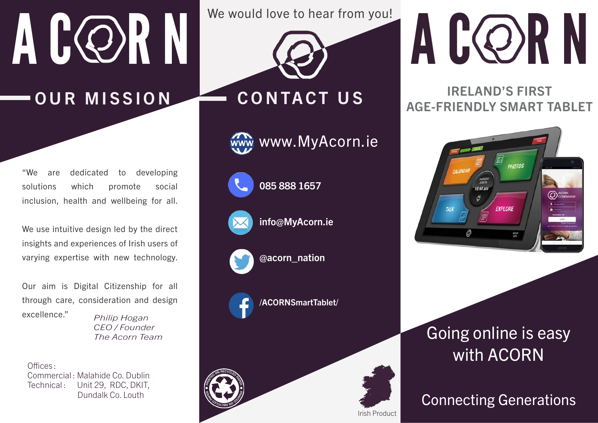# A CORN

OUR MISSION CONTACT US

"We are dedicated to developing solutions which promote social inclusion, health and wellbeing for all.

We use intuitive design led by the direct insights and experiences of Irish users of varying expertise with new technology.

Our aim is Digital Citizenship for all through care, consideration and design excellence." *Philip Hogan*

*CEO / Founder The Acorn Team*

Offices : Commercial : Malahide Co. Dublin Technical: Unit 29, RDC, DKIT, Dundalk Co. Louth

We would love to hear from you!



www.MyAcorn.ie



085 888 1657



info@MyAcorn.ie



@acorn\_nation



/ACORNSmartTablet/

Irish Product



## A CORN

## IRELAND'S FIRST AGE-FRIENDLY SMART TABLET



## Going online is easy with ACORN

## Connecting Generations